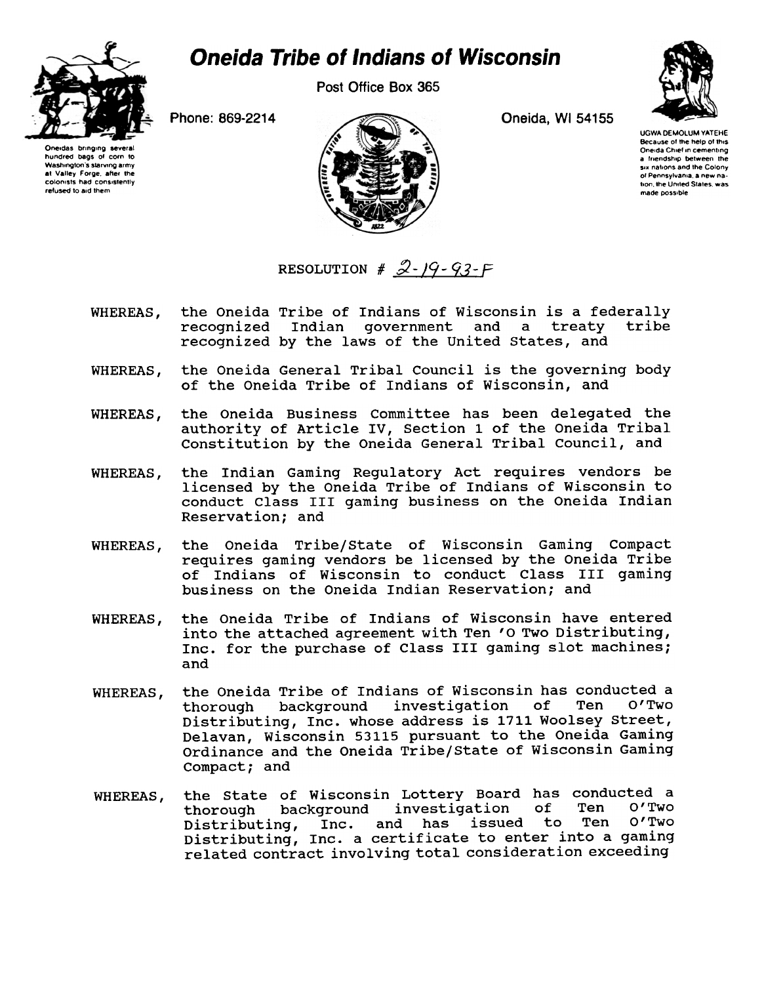

## **Oneida Tribe of Indians of Wisconsin**

Post Office Box 365

Phone: 869-2214

Oneidas bringing severa hundred bags of corn to Washington's starving army at Valley Forge, after th colonists had consistently refused to aid them



Oneida, WI 54155

**UGWA DEMOLUM YATEHE** Because of the help of this Oneida Chief in cementing a friendship between the six nations and the Colony of Pennsylvania a new nation, the United States, was made possible

RESOLUTION #  $2 - 19 - 93 - F$ 

- the Oneida Tribe of Indians of Wisconsin is a federally WHEREAS, recognized Indian government and a treaty tribe recognized by the laws of the United States, and
- the Oneida General Tribal Council is the governing body WHEREAS, of the Oneida Tribe of Indians of Wisconsin, and
- the Oneida Business Committee has been delegated the WHEREAS, authority of Article IV, Section 1 of the Oneida Tribal Constitution by the Oneida General Tribal Council, and
- the Indian Gaming Regulatory Act requires vendors be WHEREAS. licensed by the Oneida Tribe of Indians of Wisconsin to conduct Class III gaming business on the Oneida Indian Reservation; and
- the Oneida Tribe/State of Wisconsin Gaming Compact WHEREAS, requires gaming vendors be licensed by the Oneida Tribe of Indians of Wisconsin to conduct Class III gaming business on the Oneida Indian Reservation; and
- the Oneida Tribe of Indians of Wisconsin have entered WHEREAS. into the attached agreement with Ten 'O Two Distributing, Inc. for the purchase of Class III gaming slot machines; and
- the Oneida Tribe of Indians of Wisconsin has conducted a WHEREAS, background investigation of Ten  $O'$  Two thorough Distributing, Inc. whose address is 1711 Woolsey Street, Delavan, Wisconsin 53115 pursuant to the Oneida Gaming Ordinance and the Oneida Tribe/State of Wisconsin Gaming Compact; and
- the State of Wisconsin Lottery Board has conducted a WHEREAS,  $of$ background investigation Ten O'Two thorough Distributing, Inc. and has issued to Ten O'Two<br>Distributing, Inc. a certificate to enter into a gaming related contract involving total consideration exceeding